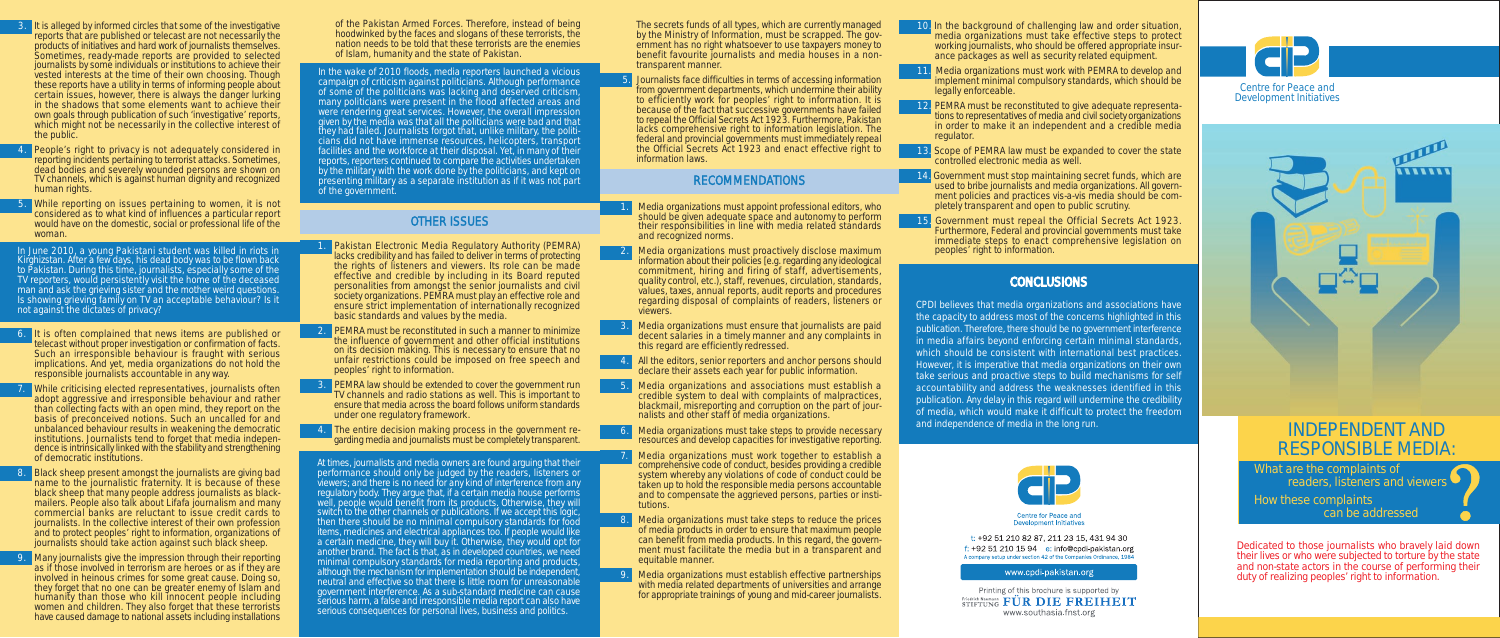

- It is alleged by informed circles that some of the investigative reports that are published or telecast are not necessarily the products of initiatives and hard work of journalists themselves. Sometimes, ready-made reports are provided to selected journalists by some individuals or institutions to achieve their vested interests at the time of their own choosing. Though these reports have a utility in terms of informing people about certain issues, however, there is always the danger lurking in the shadows that some elements want to achieve their own goals through publication of such 'investigative' reports, which might not be necessarily in the collective interest of the public.
- People's right to privacy is not adequately considered in reporting incidents pertaining to terrorist attacks. Sometimes, dead bodies and severely wounded persons are shown on TV channels, which is against human dignity and recognized human rights.
- While reporting on issues pertaining to women, it is not considered as to what kind of influences a particular report would have on the domestic, social or professional life of the woman.

of the Pakistan Armed Forces. Therefore, instead of being hoodwinked by the faces and slogans of these terrorists, the nation needs to be told that these terrorists are the enemies of Islam, humanity and the state of Pakistan.

At times, journalists and media owners are found arguing that their performance should only be judged by the readers, listeners or viewers; and there is no need for any kind of interference from any regulatory body. They argue that, if a certain media house performs well, people would benefit from its products. Otherwise, they will switch to the other channels or publications. If we accept this logic, then there should be no minimal compulsory standards for food items, medicines and electrical appliances too. If people would like a certain medicine, they will buy it. Otherwise, they would opt for another brand. The fact is that, as in developed countries, we need minimal compulsory standards for media reporting and products, although the mechanism for implementation should be independent, neutral and effective so that there is little room for unreasonable government interference. As a sub-standard medicine can cause serious harm, a false and irresponsible media report can also have serious consequences for personal lives, business and politics.

- Media organizations must appoint professional editors, who should be given adequate space and autonomy to perform their responsibilities in line with media related standards and recognized norms.
- Media organizations must proactively disclose maximum information about their policies [e.g. regarding any ideological commitment, hiring and firing of staff, advertisements, quality control, etc.), staff, revenues, circulation, standards, values, taxes, annual reports, audit reports and procedures regarding disposal of complaints of readers, listeners or viewers.
- Media organizations must ensure that journalists are paid decent salaries in a timely manner and any complaints in this regard are efficiently redressed.
- 4. All the editors, senior reporters and anchor persons should declare their assets each year for public information.
- 5. Media organizations and associations must establish a credible system to deal with complaints of malpractices, blackmail, misreporting and corruption on the part of journalists and other staff of media organizations.
- Media organizations must take steps to provide necessary resources and develop capacities for investigative reporting.
- 7. Media organizations must work together to establish a comprehensive code of conduct, besides providing a credible system whereby any violations of code of conduct could be taken up to hold the responsible media persons accountable and to compensate the aggrieved persons, parties or institutions.
- Media organizations must take steps to reduce the prices of media products in order to ensure that maximum people can benefit from media products. In this regard, the government must facilitate the media but in a transparent and equitable manner.
- 9. Media organizations must establish effective partnerships with media related departments of universities and arrange for appropriate trainings of young and mid-career journalists.
- It is often complained that news items are published or telecast without proper investigation or confirmation of facts. Such an irresponsible behaviour is fraught with serious implications. And yet, media organizations do not hold the responsible journalists accountable in any way.
- While criticising elected representatives, journalists often adopt aggressive and irresponsible behaviour and rather than collecting facts with an open mind, they report on the basis of preconceived notions. Such an uncalled for and unbalanced behaviour results in weakening the democratic institutions. Journalists tend to forget that media independence is intrinsically linked with the stability and strengthening of democratic institutions.
- Black sheep present amongst the journalists are giving bad name to the journalistic fraternity. It is because of these black sheep that many people address journalists as blackmailers. People also talk about Lifafa journalism and many commercial banks are reluctant to issue credit cards to journalists. In the collective interest of their own profession and to protect peoples' right to information, organizations of journalists should take action against such black sheep.
- Many journalists give the impression through their reporting as if those involved in terrorism are heroes or as if they are involved in heinous crimes for some great cause. Doing so, they forget that no one can be greater enemy of Islam and humanity than those who kill innocent people including women and children. They also forget that these terrorists have caused damage to national assets including installations

Media organizations must work with PEMRA to develop and implement minimal compulsory standards, which should be legally enforceable.

PEMRA must be reconstituted to give adequate representations to representatives of media and civil society organizations in order to make it an independent and a credible media regulator.

Government must stop maintaining secret funds, which are used to bribe journalists and media organizations. All government policies and practices vis-a-vis media should be completely transparent and open to public scrutiny.

# and independence of media in the long run.<br> **INDEPENDENT AND** RESPONSIBLE MEDIA:

**888888** 

What are the complaints of readers, listeners and viewers

In June 2010, a young Pakistani student was killed in riots in Kirghizstan. After a few days, his dead body was to be flown back to Pakistan. During this time, journalists, especially some of the TV reporters, would persistently visit the home of the deceased man and ask the grieving sister and the mother weird questions. Is showing grieving family on TV an acceptable behaviour? Is it not against the dictates of privacy?

In the wake of 2010 floods, media reporters launched a vicious campaign of criticism against politicians. Although performance of some of the politicians was lacking and deserved criticism, many politicians were present in the flood affected areas and were rendering great services. However, the overall impression given by the media was that all the politicians were bad and that they had failed. Journalists forgot that, unlike military, the politicians did not have immense resources, helicopters, transport facilities and the workforce at their disposal. Yet, in many of their reports, reporters continued to compare the activities undertaken by the military with the work done by the politicians, and kept on presenting military as a separate institution as if it was not part of the government.

10. In the background of challenging law and order situation, media organizations must take effective steps to protect working journalists, who should be offered appropriate insurance packages as well as security related equipment.

13. Scope of PEMRA law must be expanded to cover the state controlled electronic media as well.

15. Government must repeal the Official Secrets Act 1923. Furthermore, Federal and provincial governments must take immediate steps to enact comprehensive legislation on peoples' right to information.

## **CONCLUSIONS**



Centre for Peace and **Development Initiatives** 

t: +92 51 210 82 87, 211 23 15, 431 94 30  $f: +92512101594$  e: info@cpdi-pakistan.org A company setup under section 42 of the Companies Ordinance, 1984

#### www.cpdi-pakistan.org

Printing of this brochure is supported by **ETIETUNG FÜR DIE FREIHEIT** www.southasia.fnst.org

CPDI believes that media organizations and associations have the capacity to address most of the concerns highlighted in this publication. Therefore, there should be no government interference in media affairs beyond enforcing certain minimal standards, which should be consistent with international best practices. However, it is imperative that media organizations on their own take serious and proactive steps to build mechanisms for self accountability and address the weaknesses identified in this publication. Any delay in this regard will undermine the credibility of media, which would make it difficult to protect the freedom

> can be addressed How these complaints

Dedicated to those journalists who bravely laid down their lives or who were subjected to torture by the state and non-state actors in the course of performing their duty of realizing peoples' right to information.

# OTHER ISSUES

- 1. Pakistan Electronic Media Regulatory Authority (PEMRA) lacks credibility and has failed to deliver in terms of protecting the rights of listeners and viewers. Its role can be made effective and credible by including in its Board reputed personalities from amongst the senior journalists and civil society organizations. PEMRA must play an effective role and ensure strict implementation of internationally recognized basic standards and values by the media.
- 2. PEMRA must be reconstituted in such a manner to minimize the influence of government and other official institutions on its decision making. This is necessary to ensure that no unfair restrictions could be imposed on free speech and peoples' right to information.
- **PEMRA law should be extended to cover the government run** TV channels and radio stations as well. This is important to ensure that media across the board follows uniform standards under one regulatory framework.
- 4. The entire decision making process in the government regarding media and journalists must be completely transparent.

The secrets funds of all types, which are currently managed by the Ministry of Information, must be scrapped. The government has no right whatsoever to use taxpayers money to benefit favourite journalists and media houses in a nontransparent manner.

 5. Journalists face difficulties in terms of accessing information from government departments, which undermine their ability to efficiently work for peoples' right to information. It is because of the fact that successive governments have failed to repeal the Official Secrets Act 1923. Furthermore, Pakistan lacks comprehensive right to information legislation. The federal and provincial governments must immediately repeal the Official Secrets Act 1923 and enact effective right to information laws.

## RECOMMENDATIONS